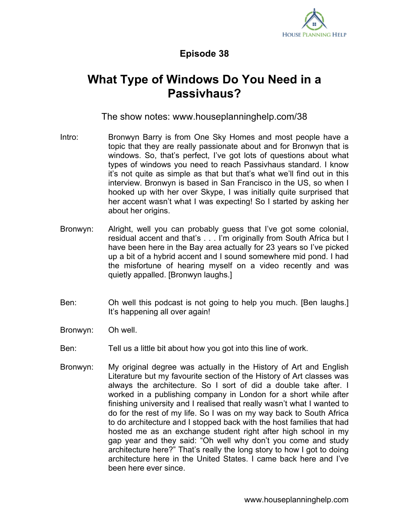

## **Episode 38**

## **What Type of Windows Do You Need in a Passivhaus?**

The show notes: www.houseplanninghelp.com/38

- Intro: Bronwyn Barry is from One Sky Homes and most people have a topic that they are really passionate about and for Bronwyn that is windows. So, that's perfect, I've got lots of questions about what types of windows you need to reach Passivhaus standard. I know it's not quite as simple as that but that's what we'll find out in this interview. Bronwyn is based in San Francisco in the US, so when I hooked up with her over Skype, I was initially quite surprised that her accent wasn't what I was expecting! So I started by asking her about her origins.
- Bronwyn: Alright, well you can probably guess that I've got some colonial, residual accent and that's . . . I'm originally from South Africa but I have been here in the Bay area actually for 23 years so I've picked up a bit of a hybrid accent and I sound somewhere mid pond. I had the misfortune of hearing myself on a video recently and was quietly appalled. [Bronwyn laughs.]
- Ben: Oh well this podcast is not going to help you much. [Ben laughs.] It's happening all over again!
- Bronwyn: Oh well.
- Ben: Tell us a little bit about how you got into this line of work.
- Bronwyn: My original degree was actually in the History of Art and English Literature but my favourite section of the History of Art classes was always the architecture. So I sort of did a double take after. I worked in a publishing company in London for a short while after finishing university and I realised that really wasn't what I wanted to do for the rest of my life. So I was on my way back to South Africa to do architecture and I stopped back with the host families that had hosted me as an exchange student right after high school in my gap year and they said: "Oh well why don't you come and study architecture here?" That's really the long story to how I got to doing architecture here in the United States. I came back here and I've been here ever since.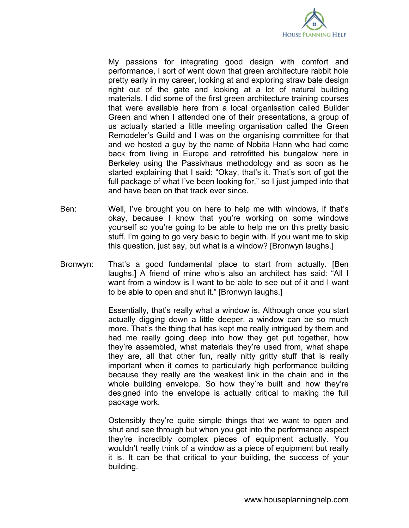

My passions for integrating good design with comfort and performance, I sort of went down that green architecture rabbit hole pretty early in my career, looking at and exploring straw bale design right out of the gate and looking at a lot of natural building materials. I did some of the first green architecture training courses that were available here from a local organisation called Builder Green and when I attended one of their presentations, a group of us actually started a little meeting organisation called the Green Remodeler's Guild and I was on the organising committee for that and we hosted a guy by the name of Nobita Hann who had come back from living in Europe and retrofitted his bungalow here in Berkeley using the Passivhaus methodology and as soon as he started explaining that I said: "Okay, that's it. That's sort of got the full package of what I've been looking for," so I just jumped into that and have been on that track ever since.

- Ben: Well, I've brought you on here to help me with windows, if that's okay, because I know that you're working on some windows yourself so you're going to be able to help me on this pretty basic stuff. I'm going to go very basic to begin with. If you want me to skip this question, just say, but what is a window? [Bronwyn laughs.]
- Bronwyn: That's a good fundamental place to start from actually. [Ben laughs.] A friend of mine who's also an architect has said: "All I want from a window is I want to be able to see out of it and I want to be able to open and shut it." [Bronwyn laughs.]

Essentially, that's really what a window is. Although once you start actually digging down a little deeper, a window can be so much more. That's the thing that has kept me really intrigued by them and had me really going deep into how they get put together, how they're assembled, what materials they're used from, what shape they are, all that other fun, really nitty gritty stuff that is really important when it comes to particularly high performance building because they really are the weakest link in the chain and in the whole building envelope. So how they're built and how they're designed into the envelope is actually critical to making the full package work.

Ostensibly they're quite simple things that we want to open and shut and see through but when you get into the performance aspect they're incredibly complex pieces of equipment actually. You wouldn't really think of a window as a piece of equipment but really it is. It can be that critical to your building, the success of your building.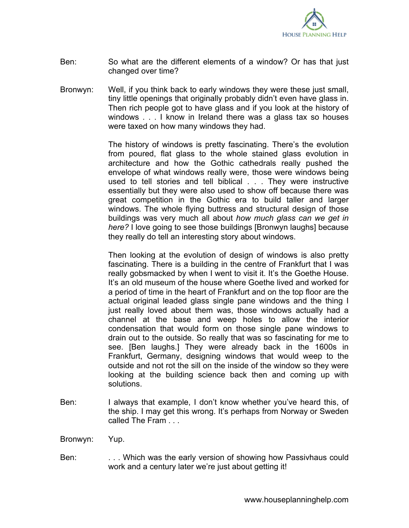

- Ben: So what are the different elements of a window? Or has that just changed over time?
- Bronwyn: Well, if you think back to early windows they were these just small, tiny little openings that originally probably didn't even have glass in. Then rich people got to have glass and if you look at the history of windows . . . I know in Ireland there was a glass tax so houses were taxed on how many windows they had.

The history of windows is pretty fascinating. There's the evolution from poured, flat glass to the whole stained glass evolution in architecture and how the Gothic cathedrals really pushed the envelope of what windows really were, those were windows being used to tell stories and tell biblical . . . They were instructive essentially but they were also used to show off because there was great competition in the Gothic era to build taller and larger windows. The whole flying buttress and structural design of those buildings was very much all about *how much glass can we get in here?* I love going to see those buildings [Bronwyn laughs] because they really do tell an interesting story about windows.

Then looking at the evolution of design of windows is also pretty fascinating. There is a building in the centre of Frankfurt that I was really gobsmacked by when I went to visit it. It's the Goethe House. It's an old museum of the house where Goethe lived and worked for a period of time in the heart of Frankfurt and on the top floor are the actual original leaded glass single pane windows and the thing I just really loved about them was, those windows actually had a channel at the base and weep holes to allow the interior condensation that would form on those single pane windows to drain out to the outside. So really that was so fascinating for me to see. [Ben laughs.] They were already back in the 1600s in Frankfurt, Germany, designing windows that would weep to the outside and not rot the sill on the inside of the window so they were looking at the building science back then and coming up with solutions.

- Ben: I always that example, I don't know whether you've heard this, of the ship. I may get this wrong. It's perhaps from Norway or Sweden called The Fram . . .
- Bronwyn: Yup.
- Ben: . . . Which was the early version of showing how Passivhaus could work and a century later we're just about getting it!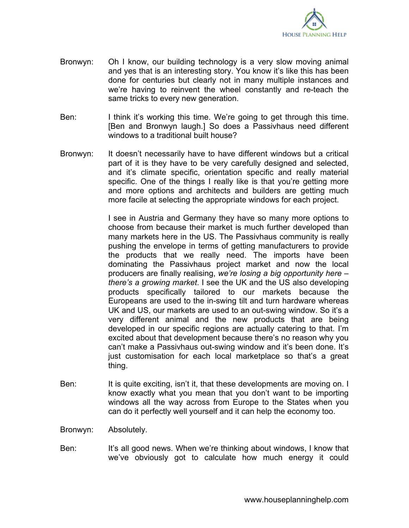

- Bronwyn: Oh I know, our building technology is a very slow moving animal and yes that is an interesting story. You know it's like this has been done for centuries but clearly not in many multiple instances and we're having to reinvent the wheel constantly and re-teach the same tricks to every new generation.
- Ben: I think it's working this time. We're going to get through this time. [Ben and Bronwyn laugh.] So does a Passivhaus need different windows to a traditional built house?
- Bronwyn: It doesn't necessarily have to have different windows but a critical part of it is they have to be very carefully designed and selected, and it's climate specific, orientation specific and really material specific. One of the things I really like is that you're getting more and more options and architects and builders are getting much more facile at selecting the appropriate windows for each project.

I see in Austria and Germany they have so many more options to choose from because their market is much further developed than many markets here in the US. The Passivhaus community is really pushing the envelope in terms of getting manufacturers to provide the products that we really need. The imports have been dominating the Passivhaus project market and now the local producers are finally realising, *we're losing a big opportunity here – there's a growing market*. I see the UK and the US also developing products specifically tailored to our markets because the Europeans are used to the in-swing tilt and turn hardware whereas UK and US, our markets are used to an out-swing window. So it's a very different animal and the new products that are being developed in our specific regions are actually catering to that. I'm excited about that development because there's no reason why you can't make a Passivhaus out-swing window and it's been done. It's just customisation for each local marketplace so that's a great thing.

- Ben: It is quite exciting, isn't it, that these developments are moving on. I know exactly what you mean that you don't want to be importing windows all the way across from Europe to the States when you can do it perfectly well yourself and it can help the economy too.
- Bronwyn: Absolutely.
- Ben: It's all good news. When we're thinking about windows, I know that we've obviously got to calculate how much energy it could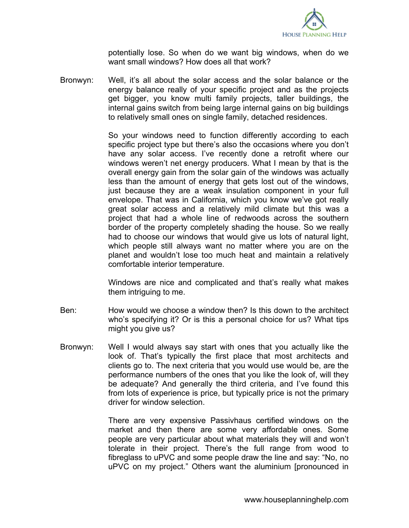

potentially lose. So when do we want big windows, when do we want small windows? How does all that work?

Bronwyn: Well, it's all about the solar access and the solar balance or the energy balance really of your specific project and as the projects get bigger, you know multi family projects, taller buildings, the internal gains switch from being large internal gains on big buildings to relatively small ones on single family, detached residences.

> So your windows need to function differently according to each specific project type but there's also the occasions where you don't have any solar access. I've recently done a retrofit where our windows weren't net energy producers. What I mean by that is the overall energy gain from the solar gain of the windows was actually less than the amount of energy that gets lost out of the windows, just because they are a weak insulation component in your full envelope. That was in California, which you know we've got really great solar access and a relatively mild climate but this was a project that had a whole line of redwoods across the southern border of the property completely shading the house. So we really had to choose our windows that would give us lots of natural light, which people still always want no matter where you are on the planet and wouldn't lose too much heat and maintain a relatively comfortable interior temperature.

> Windows are nice and complicated and that's really what makes them intriguing to me.

- Ben: How would we choose a window then? Is this down to the architect who's specifying it? Or is this a personal choice for us? What tips might you give us?
- Bronwyn: Well I would always say start with ones that you actually like the look of. That's typically the first place that most architects and clients go to. The next criteria that you would use would be, are the performance numbers of the ones that you like the look of, will they be adequate? And generally the third criteria, and I've found this from lots of experience is price, but typically price is not the primary driver for window selection.

There are very expensive Passivhaus certified windows on the market and then there are some very affordable ones. Some people are very particular about what materials they will and won't tolerate in their project. There's the full range from wood to fibreglass to uPVC and some people draw the line and say: "No, no uPVC on my project." Others want the aluminium [pronounced in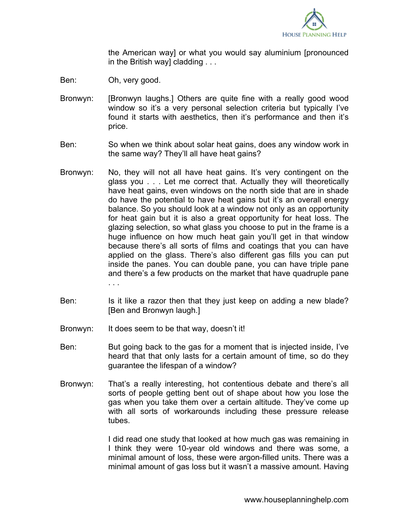

the American way] or what you would say aluminium [pronounced in the British way] cladding . . .

- Ben: Oh, very good.
- Bronwyn: [Bronwyn laughs.] Others are quite fine with a really good wood window so it's a very personal selection criteria but typically I've found it starts with aesthetics, then it's performance and then it's price.
- Ben: So when we think about solar heat gains, does any window work in the same way? They'll all have heat gains?
- Bronwyn: No, they will not all have heat gains. It's very contingent on the glass you . . . Let me correct that. Actually they will theoretically have heat gains, even windows on the north side that are in shade do have the potential to have heat gains but it's an overall energy balance. So you should look at a window not only as an opportunity for heat gain but it is also a great opportunity for heat loss. The glazing selection, so what glass you choose to put in the frame is a huge influence on how much heat gain you'll get in that window because there's all sorts of films and coatings that you can have applied on the glass. There's also different gas fills you can put inside the panes. You can double pane, you can have triple pane and there's a few products on the market that have quadruple pane . . .
- Ben: Is it like a razor then that they just keep on adding a new blade? [Ben and Bronwyn laugh.]
- Bronwyn: It does seem to be that way, doesn't it!
- Ben: But going back to the gas for a moment that is injected inside, I've heard that that only lasts for a certain amount of time, so do they guarantee the lifespan of a window?
- Bronwyn: That's a really interesting, hot contentious debate and there's all sorts of people getting bent out of shape about how you lose the gas when you take them over a certain altitude. They've come up with all sorts of workarounds including these pressure release tubes.

I did read one study that looked at how much gas was remaining in I think they were 10-year old windows and there was some, a minimal amount of loss, these were argon-filled units. There was a minimal amount of gas loss but it wasn't a massive amount. Having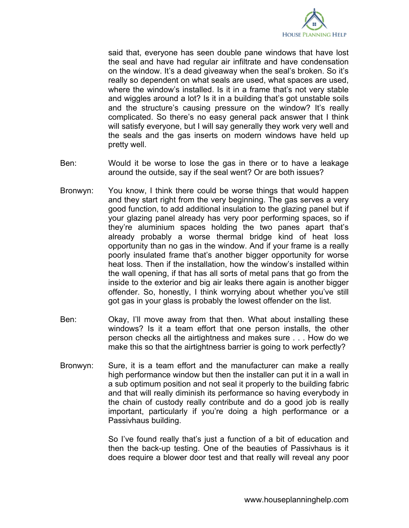

said that, everyone has seen double pane windows that have lost the seal and have had regular air infiltrate and have condensation on the window. It's a dead giveaway when the seal's broken. So it's really so dependent on what seals are used, what spaces are used, where the window's installed. Is it in a frame that's not very stable and wiggles around a lot? Is it in a building that's got unstable soils and the structure's causing pressure on the window? It's really complicated. So there's no easy general pack answer that I think will satisfy everyone, but I will say generally they work very well and the seals and the gas inserts on modern windows have held up pretty well.

- Ben: Would it be worse to lose the gas in there or to have a leakage around the outside, say if the seal went? Or are both issues?
- Bronwyn: You know, I think there could be worse things that would happen and they start right from the very beginning. The gas serves a very good function, to add additional insulation to the glazing panel but if your glazing panel already has very poor performing spaces, so if they're aluminium spaces holding the two panes apart that's already probably a worse thermal bridge kind of heat loss opportunity than no gas in the window. And if your frame is a really poorly insulated frame that's another bigger opportunity for worse heat loss. Then if the installation, how the window's installed within the wall opening, if that has all sorts of metal pans that go from the inside to the exterior and big air leaks there again is another bigger offender. So, honestly, I think worrying about whether you've still got gas in your glass is probably the lowest offender on the list.
- Ben: Okay, I'll move away from that then. What about installing these windows? Is it a team effort that one person installs, the other person checks all the airtightness and makes sure . . . How do we make this so that the airtightness barrier is going to work perfectly?
- Bronwyn: Sure, it is a team effort and the manufacturer can make a really high performance window but then the installer can put it in a wall in a sub optimum position and not seal it properly to the building fabric and that will really diminish its performance so having everybody in the chain of custody really contribute and do a good job is really important, particularly if you're doing a high performance or a Passivhaus building.

So I've found really that's just a function of a bit of education and then the back-up testing. One of the beauties of Passivhaus is it does require a blower door test and that really will reveal any poor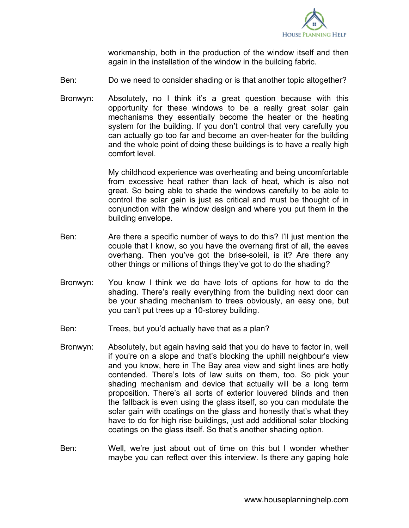

workmanship, both in the production of the window itself and then again in the installation of the window in the building fabric.

- Ben: Do we need to consider shading or is that another topic altogether?
- Bronwyn: Absolutely, no I think it's a great question because with this opportunity for these windows to be a really great solar gain mechanisms they essentially become the heater or the heating system for the building. If you don't control that very carefully you can actually go too far and become an over-heater for the building and the whole point of doing these buildings is to have a really high comfort level.

My childhood experience was overheating and being uncomfortable from excessive heat rather than lack of heat, which is also not great. So being able to shade the windows carefully to be able to control the solar gain is just as critical and must be thought of in conjunction with the window design and where you put them in the building envelope.

- Ben: Are there a specific number of ways to do this? I'll just mention the couple that I know, so you have the overhang first of all, the eaves overhang. Then you've got the brise-soleil, is it? Are there any other things or millions of things they've got to do the shading?
- Bronwyn: You know I think we do have lots of options for how to do the shading. There's really everything from the building next door can be your shading mechanism to trees obviously, an easy one, but you can't put trees up a 10-storey building.
- Ben: Trees, but you'd actually have that as a plan?
- Bronwyn: Absolutely, but again having said that you do have to factor in, well if you're on a slope and that's blocking the uphill neighbour's view and you know, here in The Bay area view and sight lines are hotly contended. There's lots of law suits on them, too. So pick your shading mechanism and device that actually will be a long term proposition. There's all sorts of exterior louvered blinds and then the fallback is even using the glass itself, so you can modulate the solar gain with coatings on the glass and honestly that's what they have to do for high rise buildings, just add additional solar blocking coatings on the glass itself. So that's another shading option.
- Ben: Well, we're just about out of time on this but I wonder whether maybe you can reflect over this interview. Is there any gaping hole